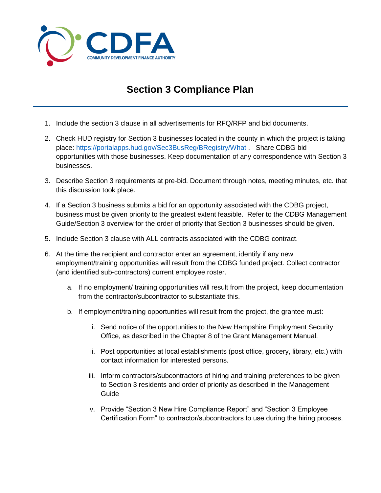

## **Section 3 Compliance Plan**

- 1. Include the section 3 clause in all advertisements for RFQ/RFP and bid documents.
- 2. Check HUD registry for Section 3 businesses located in the county in which the project is taking place:<https://portalapps.hud.gov/Sec3BusReg/BRegistry/What> . Share CDBG bid opportunities with those businesses. Keep documentation of any correspondence with Section 3 businesses.
- 3. Describe Section 3 requirements at pre-bid. Document through notes, meeting minutes, etc. that this discussion took place.
- 4. If a Section 3 business submits a bid for an opportunity associated with the CDBG project, business must be given priority to the greatest extent feasible. Refer to the CDBG Management Guide/Section 3 overview for the order of priority that Section 3 businesses should be given.
- 5. Include Section 3 clause with ALL contracts associated with the CDBG contract.
- 6. At the time the recipient and contractor enter an agreement, identify if any new employment/training opportunities will result from the CDBG funded project. Collect contractor (and identified sub-contractors) current employee roster.
	- a. If no employment/ training opportunities will result from the project, keep documentation from the contractor/subcontractor to substantiate this.
	- b. If employment/training opportunities will result from the project, the grantee must:
		- i. Send notice of the opportunities to the New Hampshire Employment Security Office, as described in the Chapter 8 of the Grant Management Manual.
		- ii. Post opportunities at local establishments (post office, grocery, library, etc.) with contact information for interested persons.
		- iii. Inform contractors/subcontractors of hiring and training preferences to be given to Section 3 residents and order of priority as described in the Management Guide
		- iv. Provide "Section 3 New Hire Compliance Report" and "Section 3 Employee Certification Form" to contractor/subcontractors to use during the hiring process.